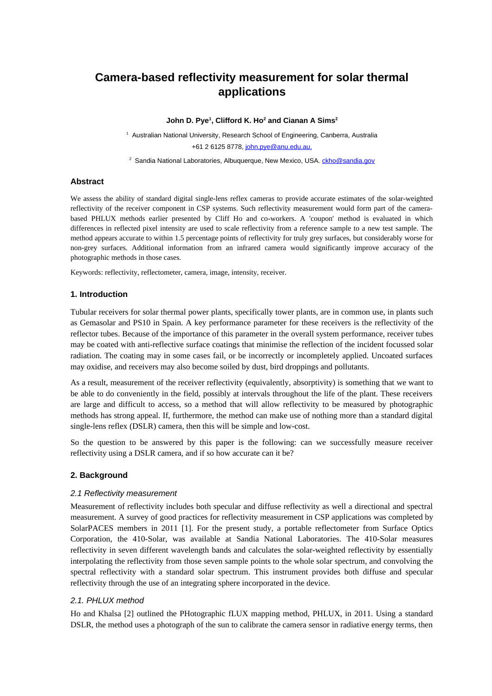# **Camera-based reflectivity measurement for solar thermal applications**

#### **John D. Pye<sup>1</sup> , Clifford K. Ho<sup>2</sup> and Cianan A Sims<sup>2</sup>**

<sup>1</sup> Australian National University, Research School of Engineering, Canberra, Australia +61 2 6125 8778, [john.pye@anu.edu.au.](mailto:john.pye@anu.edu.au)

<sup>2</sup> Sandia National Laboratories, Albuquerque, New Mexico, USA. [ckho@sandia.gov](mailto:ckho@sandia.gov)

## **Abstract**

We assess the ability of standard digital single-lens reflex cameras to provide accurate estimates of the solar-weighted reflectivity of the receiver component in CSP systems. Such reflectivity measurement would form part of the camerabased PHLUX methods earlier presented by Cliff Ho and co-workers. A 'coupon' method is evaluated in which differences in reflected pixel intensity are used to scale reflectivity from a reference sample to a new test sample. The method appears accurate to within 1.5 percentage points of reflectivity for truly grey surfaces, but considerably worse for non-grey surfaces. Additional information from an infrared camera would significantly improve accuracy of the photographic methods in those cases.

Keywords: reflectivity, reflectometer, camera, image, intensity, receiver.

## **1. Introduction**

Tubular receivers for solar thermal power plants, specifically tower plants, are in common use, in plants such as Gemasolar and PS10 in Spain. A key performance parameter for these receivers is the reflectivity of the reflector tubes. Because of the importance of this parameter in the overall system performance, receiver tubes may be coated with anti-reflective surface coatings that minimise the reflection of the incident focussed solar radiation. The coating may in some cases fail, or be incorrectly or incompletely applied. Uncoated surfaces may oxidise, and receivers may also become soiled by dust, bird droppings and pollutants.

As a result, measurement of the receiver reflectivity (equivalently, absorptivity) is something that we want to be able to do conveniently in the field, possibly at intervals throughout the life of the plant. These receivers are large and difficult to access, so a method that will allow reflectivity to be measured by photographic methods has strong appeal. If, furthermore, the method can make use of nothing more than a standard digital single-lens reflex (DSLR) camera, then this will be simple and low-cost.

So the question to be answered by this paper is the following: can we successfully measure receiver reflectivity using a DSLR camera, and if so how accurate can it be?

#### **2. Background**

#### *2.1 Reflectivity measurement*

Measurement of reflectivity includes both specular and diffuse reflectivity as well a directional and spectral measurement. A survey of good practices for reflectivity measurement in CSP applications was completed by SolarPACES members in 2011 [1]. For the present study, a portable reflectometer from Surface Optics Corporation, the 410-Solar, was available at Sandia National Laboratories. The 410-Solar measures reflectivity in seven different wavelength bands and calculates the solar-weighted reflectivity by essentially interpolating the reflectivity from those seven sample points to the whole solar spectrum, and convolving the spectral reflectivity with a standard solar spectrum. This instrument provides both diffuse and specular reflectivity through the use of an integrating sphere incorporated in the device.

## *2.1. PHLUX method*

Ho and Khalsa [2] outlined the PHotographic fLUX mapping method, PHLUX, in 2011. Using a standard DSLR, the method uses a photograph of the sun to calibrate the camera sensor in radiative energy terms, then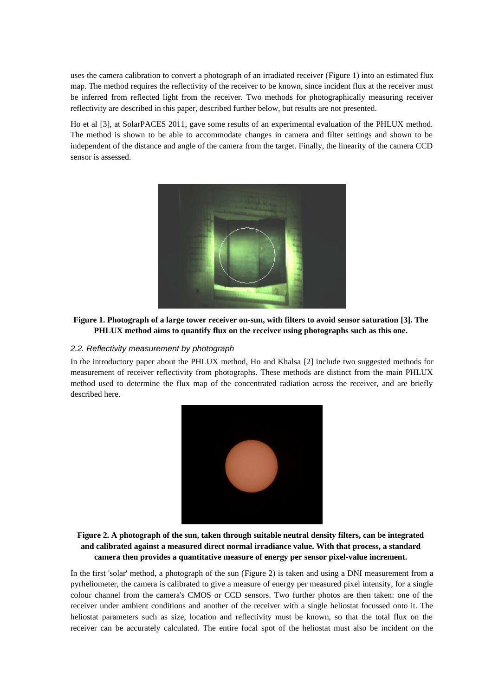uses the camera calibration to convert a photograph of an irradiated receiver [\(Figure 1\)](#page-1-0) into an estimated flux map. The method requires the reflectivity of the receiver to be known, since incident flux at the receiver must be inferred from reflected light from the receiver. Two methods for photographically measuring receiver reflectivity are described in this paper, described further below, but results are not presented.

Ho et al [3], at SolarPACES 2011, gave some results of an experimental evaluation of the PHLUX method. The method is shown to be able to accommodate changes in camera and filter settings and shown to be independent of the distance and angle of the camera from the target. Finally, the linearity of the camera CCD sensor is assessed.



**Figure 1. Photograph of a large tower receiver on-sun, with filters to avoid sensor saturation [3]. The PHLUX method aims to quantify flux on the receiver using photographs such as this one.**

## <span id="page-1-0"></span>*2.2. Reflectivity measurement by photograph*

In the introductory paper about the PHLUX method, Ho and Khalsa [2] include two suggested methods for measurement of receiver reflectivity from photographs. These methods are distinct from the main PHLUX method used to determine the flux map of the concentrated radiation across the receiver, and are briefly described here.



**Figure 2. A photograph of the sun, taken through suitable neutral density filters, can be integrated and calibrated against a measured direct normal irradiance value. With that process, a standard camera then provides a quantitative measure of energy per sensor pixel-value increment.**

<span id="page-1-1"></span>In the first 'solar' method, a photograph of the sun [\(Figure 2\)](#page-1-1) is taken and using a DNI measurement from a pyrheliometer, the camera is calibrated to give a measure of energy per measured pixel intensity, for a single colour channel from the camera's CMOS or CCD sensors. Two further photos are then taken: one of the receiver under ambient conditions and another of the receiver with a single heliostat focussed onto it. The heliostat parameters such as size, location and reflectivity must be known, so that the total flux on the receiver can be accurately calculated. The entire focal spot of the heliostat must also be incident on the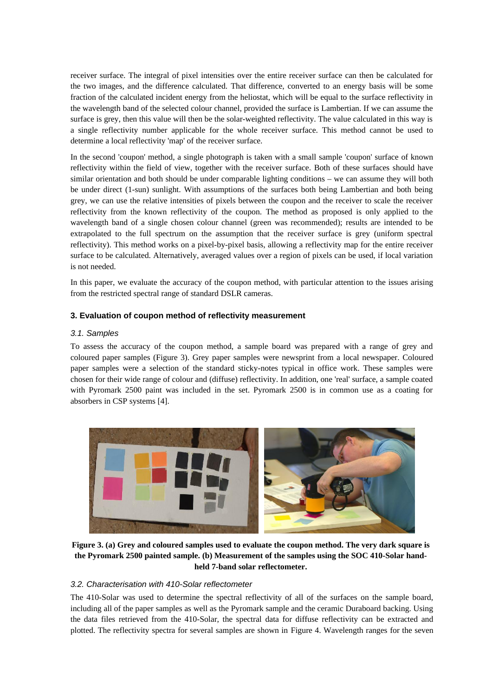receiver surface. The integral of pixel intensities over the entire receiver surface can then be calculated for the two images, and the difference calculated. That difference, converted to an energy basis will be some fraction of the calculated incident energy from the heliostat, which will be equal to the surface reflectivity in the wavelength band of the selected colour channel, provided the surface is Lambertian. If we can assume the surface is grey, then this value will then be the solar-weighted reflectivity. The value calculated in this way is a single reflectivity number applicable for the whole receiver surface. This method cannot be used to determine a local reflectivity 'map' of the receiver surface.

In the second 'coupon' method, a single photograph is taken with a small sample 'coupon' surface of known reflectivity within the field of view, together with the receiver surface. Both of these surfaces should have similar orientation and both should be under comparable lighting conditions – we can assume they will both be under direct (1-sun) sunlight. With assumptions of the surfaces both being Lambertian and both being grey, we can use the relative intensities of pixels between the coupon and the receiver to scale the receiver reflectivity from the known reflectivity of the coupon. The method as proposed is only applied to the wavelength band of a single chosen colour channel (green was recommended); results are intended to be extrapolated to the full spectrum on the assumption that the receiver surface is grey (uniform spectral reflectivity). This method works on a pixel-by-pixel basis, allowing a reflectivity map for the entire receiver surface to be calculated. Alternatively, averaged values over a region of pixels can be used, if local variation is not needed.

In this paper, we evaluate the accuracy of the coupon method, with particular attention to the issues arising from the restricted spectral range of standard DSLR cameras.

## **3. Evaluation of coupon method of reflectivity measurement**

## *3.1. Samples*

To assess the accuracy of the coupon method, a sample board was prepared with a range of grey and coloured paper samples [\(Figure 3\)](#page-2-0). Grey paper samples were newsprint from a local newspaper. Coloured paper samples were a selection of the standard sticky-notes typical in office work. These samples were chosen for their wide range of colour and (diffuse) reflectivity. In addition, one 'real' surface, a sample coated with Pyromark 2500 paint was included in the set. Pyromark 2500 is in common use as a coating for absorbers in CSP systems [4].



**Figure 3. (a) Grey and coloured samples used to evaluate the coupon method. The very dark square is the Pyromark 2500 painted sample. (b) Measurement of the samples using the SOC 410-Solar handheld 7-band solar reflectometer.**

## <span id="page-2-0"></span>*3.2. Characterisation with 410-Solar reflectometer*

The 410-Solar was used to determine the spectral reflectivity of all of the surfaces on the sample board, including all of the paper samples as well as the Pyromark sample and the ceramic Duraboard backing. Using the data files retrieved from the 410-Solar, the spectral data for diffuse reflectivity can be extracted and plotted. The reflectivity spectra for several samples are shown in [Figure 4.](#page-3-0) Wavelength ranges for the seven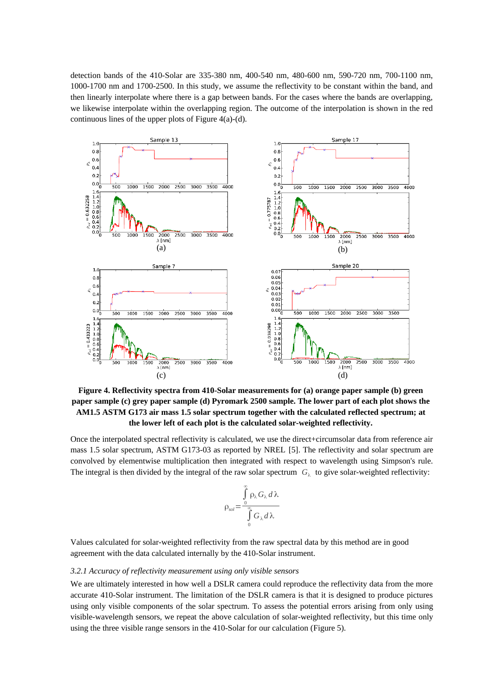detection bands of the 410-Solar are 335-380 nm, 400-540 nm, 480-600 nm, 590-720 nm, 700-1100 nm, 1000-1700 nm and 1700-2500. In this study, we assume the reflectivity to be constant within the band, and then linearly interpolate where there is a gap between bands. For the cases where the bands are overlapping, we likewise interpolate within the overlapping region. The outcome of the interpolation is shown in the red continuous lines of the upper plots of [Figure 4\(](#page-3-0)a)-(d).



<span id="page-3-0"></span>**Figure 4. Reflectivity spectra from 410-Solar measurements for (a) orange paper sample (b) green paper sample (c) grey paper sample (d) Pyromark 2500 sample. The lower part of each plot shows the AM1.5 ASTM G173 air mass 1.5 solar spectrum together with the calculated reflected spectrum; at the lower left of each plot is the calculated solar-weighted reflectivity.**

Once the interpolated spectral reflectivity is calculated, we use the direct+circumsolar data from reference air mass 1.5 solar spectrum, ASTM G173-03 as reported by NREL [5]. The reflectivity and solar spectrum are convolved by elementwise multiplication then integrated with respect to wavelength using Simpson's rule. The integral is then divided by the integral of the raw solar spectrum  $|G_\lambda|$  to give solar-weighted reflectivity:

$$
\rho_{sol} = \frac{\int_{0}^{\infty} \rho_{\lambda} G_{\lambda} d\lambda}{\int_{0}^{\infty} G_{\lambda} d\lambda}
$$

Values calculated for solar-weighted reflectivity from the raw spectral data by this method are in good agreement with the data calculated internally by the 410-Solar instrument.

#### *3.2.1 Accuracy of reflectivity measurement using only visible sensors*

We are ultimately interested in how well a DSLR camera could reproduce the reflectivity data from the more accurate 410-Solar instrument. The limitation of the DSLR camera is that it is designed to produce pictures using only visible components of the solar spectrum. To assess the potential errors arising from only using visible-wavelength sensors, we repeat the above calculation of solar-weighted reflectivity, but this time only using the three visible range sensors in the 410-Solar for our calculation [\(Figure 5\)](#page-4-0).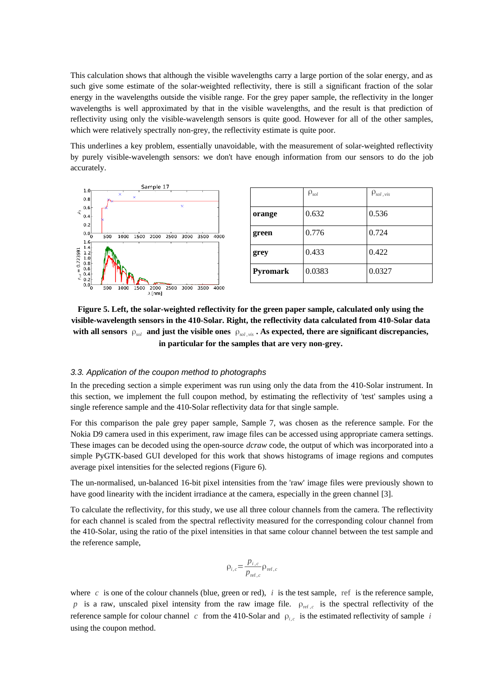This calculation shows that although the visible wavelengths carry a large portion of the solar energy, and as such give some estimate of the solar-weighted reflectivity, there is still a significant fraction of the solar energy in the wavelengths outside the visible range. For the grey paper sample, the reflectivity in the longer wavelengths is well approximated by that in the visible wavelengths, and the result is that prediction of reflectivity using only the visible-wavelength sensors is quite good. However for all of the other samples, which were relatively spectrally non-grey, the reflectivity estimate is quite poor.

This underlines a key problem, essentially unavoidable, with the measurement of solar-weighted reflectivity by purely visible-wavelength sensors: we don't have enough information from our sensors to do the job accurately.



|          | $\rho_{sol}$ | $\rho_{sol,vis}$ |
|----------|--------------|------------------|
| orange   | 0.632        | 0.536            |
| green    | 0.776        | 0.724            |
| grey     | 0.433        | 0.422            |
| Pyromark | 0.0383       | 0.0327           |

<span id="page-4-0"></span>**Figure 5. Left, the solar-weighted reflectivity for the green paper sample, calculated only using the visible-wavelength sensors in the 410-Solar. Right, the reflectivity data calculated from 410-Solar data with all sensors** ρ*sol* **and just the visible ones** ρ*sol , vis* **. As expected, there are significant discrepancies, in particular for the samples that are very non-grey.**

#### *3.3. Application of the coupon method to photographs*

In the preceding section a simple experiment was run using only the data from the 410-Solar instrument. In this section, we implement the full coupon method, by estimating the reflectivity of 'test' samples using a single reference sample and the 410-Solar reflectivity data for that single sample.

For this comparison the pale grey paper sample, Sample 7, was chosen as the reference sample. For the Nokia D9 camera used in this experiment, raw image files can be accessed using appropriate camera settings. These images can be decoded using the open-source *dcraw* code, the output of which was incorporated into a simple PyGTK-based GUI developed for this work that shows histograms of image regions and computes average pixel intensities for the selected regions [\(Figure 6\)](#page-5-0).

The un-normalised, un-balanced 16-bit pixel intensities from the 'raw' image files were previously shown to have good linearity with the incident irradiance at the camera, especially in the green channel [3].

To calculate the reflectivity, for this study, we use all three colour channels from the camera. The reflectivity for each channel is scaled from the spectral reflectivity measured for the corresponding colour channel from the 410-Solar, using the ratio of the pixel intensities in that same colour channel between the test sample and the reference sample,

$$
\rho_{i,c} = \frac{p_{i,c}}{p_{\text{ref},c}} \rho_{\text{ref},c}
$$

where  $c$  is one of the colour channels (blue, green or red),  $i$  is the test sample, ref is the reference sample,  $p$  is a raw, unscaled pixel intensity from the raw image file.  $\rho_{ref,c}$  is the spectral reflectivity of the reference sample for colour channel  $|c|$  from the 410-Solar and  $|\rho_{i,c}|$  is the estimated reflectivity of sample  $|i|$ using the coupon method.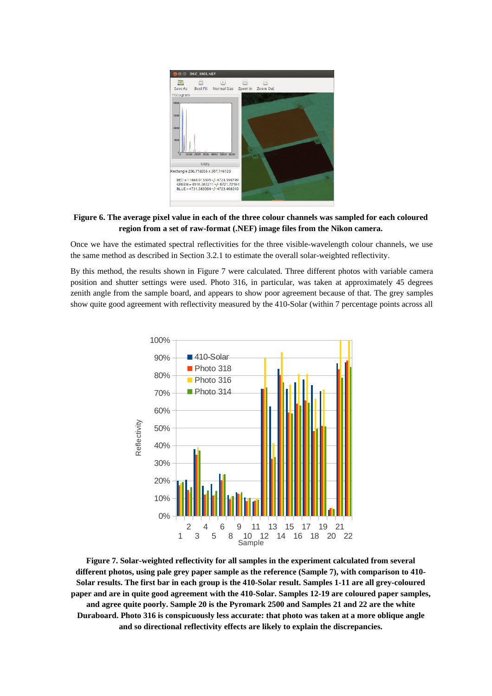

## <span id="page-5-0"></span>**Figure 6. The average pixel value in each of the three colour channels was sampled for each coloured region from a set of raw-format (.NEF) image files from the Nikon camera.**

Once we have the estimated spectral reflectivities for the three visible-wavelength colour channels, we use the same method as described in Section 3.2.1 to estimate the overall solar-weighted reflectivity.

By this method, the results shown in [Figure 7](#page-5-1) were calculated. Three different photos with variable camera position and shutter settings were used. Photo 316, in particular, was taken at approximately 45 degrees zenith angle from the sample board, and appears to show poor agreement because of that. The grey samples show quite good agreement with reflectivity measured by the 410-Solar (within 7 percentage points across all



<span id="page-5-1"></span>**Figure 7. Solar-weighted reflectivity for all samples in the experiment calculated from several different photos, using pale grey paper sample as the reference (Sample 7), with comparison to 410- Solar results. The first bar in each group is the 410-Solar result. Samples 1-11 are all grey-coloured paper and are in quite good agreement with the 410-Solar. Samples 12-19 are coloured paper samples, and agree quite poorly. Sample 20 is the Pyromark 2500 and Samples 21 and 22 are the white Duraboard. Photo 316 is conspicuously less accurate: that photo was taken at a more oblique angle and so directional reflectivity effects are likely to explain the discrepancies.**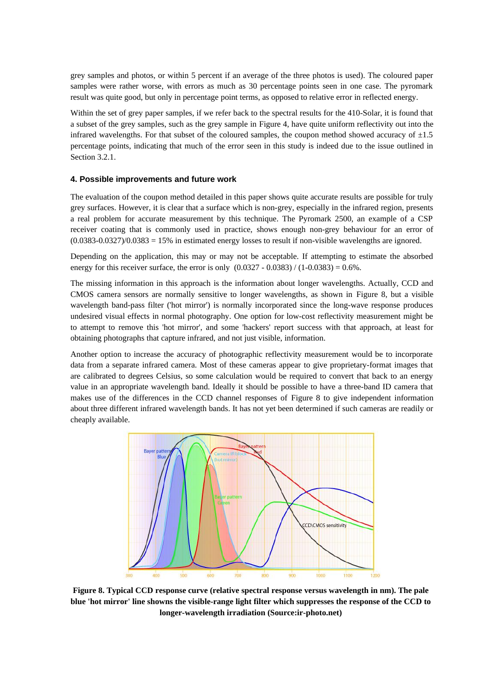grey samples and photos, or within 5 percent if an average of the three photos is used). The coloured paper samples were rather worse, with errors as much as 30 percentage points seen in one case. The pyromark result was quite good, but only in percentage point terms, as opposed to relative error in reflected energy.

Within the set of grey paper samples, if we refer back to the spectral results for the 410-Solar, it is found that a subset of the grey samples, such as the grey sample in [Figure 4,](#page-3-0) have quite uniform reflectivity out into the infrared wavelengths. For that subset of the coloured samples, the coupon method showed accuracy of  $\pm 1.5$ percentage points, indicating that much of the error seen in this study is indeed due to the issue outlined in Section 3.2.1.

#### **4. Possible improvements and future work**

The evaluation of the coupon method detailed in this paper shows quite accurate results are possible for truly grey surfaces. However, it is clear that a surface which is non-grey, especially in the infrared region, presents a real problem for accurate measurement by this technique. The Pyromark 2500, an example of a CSP receiver coating that is commonly used in practice, shows enough non-grey behaviour for an error of (0.0383-0.0327)/0.0383 = 15% in estimated energy losses to result if non-visible wavelengths are ignored.

Depending on the application, this may or may not be acceptable. If attempting to estimate the absorbed energy for this receiver surface, the error is only  $(0.0327 - 0.0383) / (1 - 0.0383) = 0.6\%$ .

The missing information in this approach is the information about longer wavelengths. Actually, CCD and CMOS camera sensors are normally sensitive to longer wavelengths, as shown in [Figure 8,](#page-6-0) but a visible wavelength band-pass filter ('hot mirror') is normally incorporated since the long-wave response produces undesired visual effects in normal photography. One option for low-cost reflectivity measurement might be to attempt to remove this 'hot mirror', and some 'hackers' report success with that approach, at least for obtaining photographs that capture infrared, and not just visible, information.

Another option to increase the accuracy of photographic reflectivity measurement would be to incorporate data from a separate infrared camera. Most of these cameras appear to give proprietary-format images that are calibrated to degrees Celsius, so some calculation would be required to convert that back to an energy value in an appropriate wavelength band. Ideally it should be possible to have a three-band ID camera that makes use of the differences in the CCD channel responses of [Figure 8](#page-6-0) to give independent information about three different infrared wavelength bands. It has not yet been determined if such cameras are readily or cheaply available.



<span id="page-6-0"></span>**Figure 8. Typical CCD response curve (relative spectral response versus wavelength in nm). The pale blue 'hot mirror' line showns the visible-range light filter which suppresses the response of the CCD to longer-wavelength irradiation (Source:ir-photo.net)**